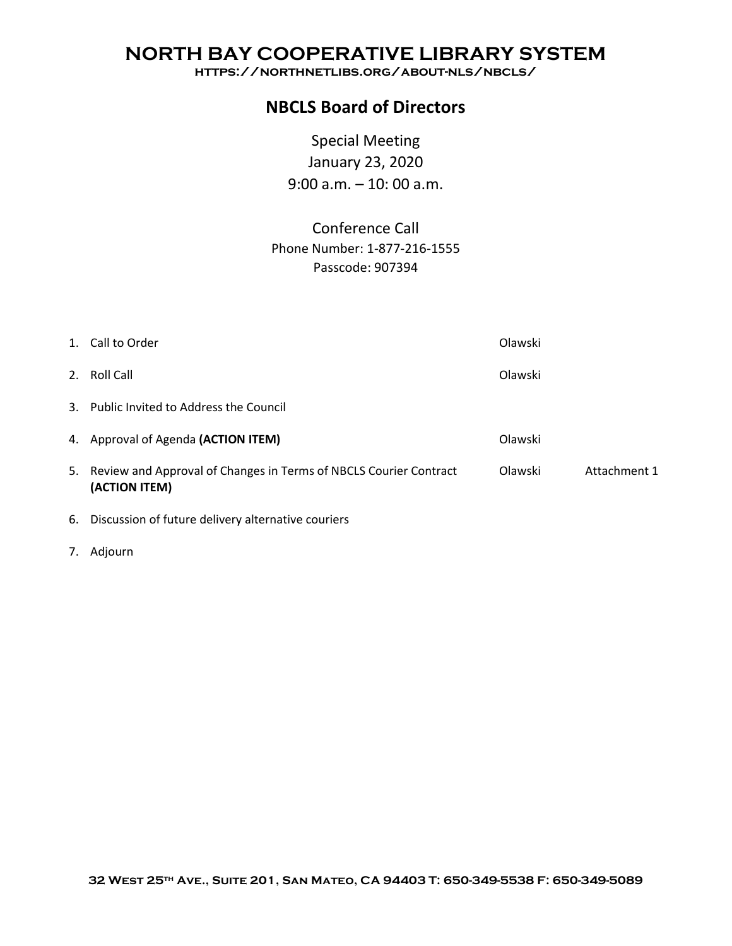### **NORTH BAY COOPERATIVE LIBRARY SYSTEM**

**https://northnetlibs.org/about-nls/nbcls/**

### **NBCLS Board of Directors**

Special Meeting January 23, 2020 9:00 a.m. – 10: 00 a.m.

Conference Call Phone Number: 1-877-216-1555 Passcode: 907394

| 1. Call to Order                                                                      | Olawski |              |
|---------------------------------------------------------------------------------------|---------|--------------|
| 2. Roll Call                                                                          | Olawski |              |
| 3. Public Invited to Address the Council                                              |         |              |
| 4. Approval of Agenda (ACTION ITEM)                                                   | Olawski |              |
| 5. Review and Approval of Changes in Terms of NBCLS Courier Contract<br>(ACTION ITEM) | Olawski | Attachment 1 |
| 6. Discussion of future delivery alternative couriers                                 |         |              |

7. Adjourn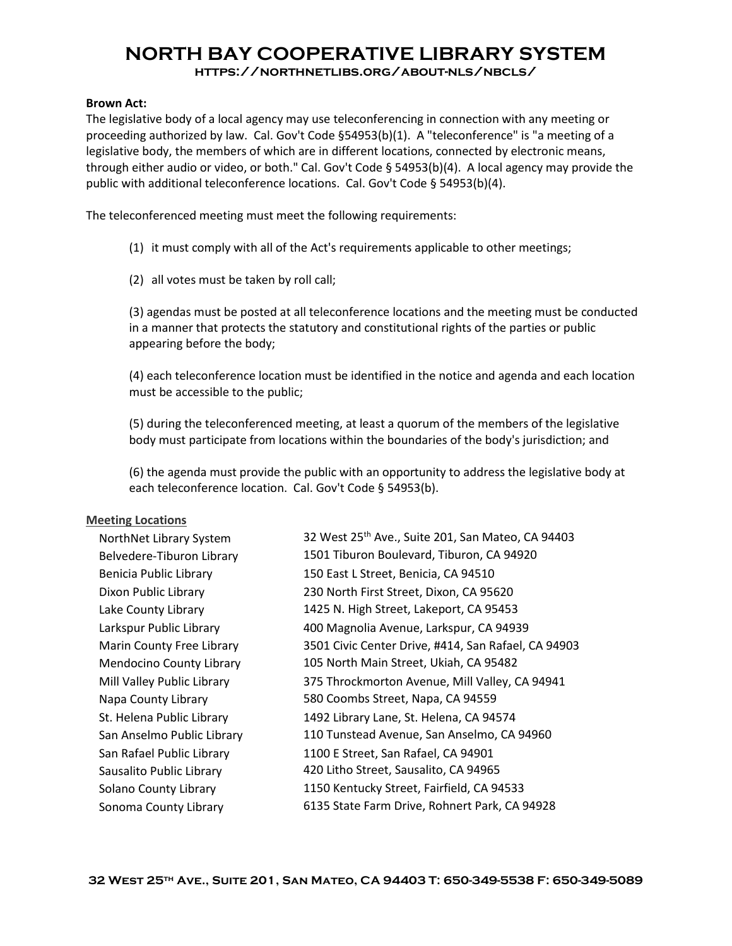# **NORTH BAY COOPERATIVE LIBRARY SYSTEM**

#### **https://northnetlibs.org/about-nls/nbcls/**

#### **Brown Act:**

The legislative body of a local agency may use teleconferencing in connection with any meeting or proceeding authorized by law. Cal. Gov't Code §54953(b)(1). A "teleconference" is "a meeting of a legislative body, the members of which are in different locations, connected by electronic means, through either audio or video, or both." Cal. Gov't Code § 54953(b)(4). A local agency may provide the public with additional teleconference locations. Cal. Gov't Code § 54953(b)(4).

The teleconferenced meeting must meet the following requirements:

(1) it must comply with all of the Act's requirements applicable to other meetings;

(2) all votes must be taken by roll call;

(3) agendas must be posted at all teleconference locations and the meeting must be conducted in a manner that protects the statutory and constitutional rights of the parties or public appearing before the body;

(4) each teleconference location must be identified in the notice and agenda and each location must be accessible to the public;

(5) during the teleconferenced meeting, at least a quorum of the members of the legislative body must participate from locations within the boundaries of the body's jurisdiction; and

(6) the agenda must provide the public with an opportunity to address the legislative body at each teleconference location. Cal. Gov't Code § 54953(b).

#### **Meeting Locations**

| NorthNet Library System         | 32 West 25th Ave., Suite 201, San Mateo, CA 94403   |  |  |  |  |
|---------------------------------|-----------------------------------------------------|--|--|--|--|
| Belvedere-Tiburon Library       | 1501 Tiburon Boulevard, Tiburon, CA 94920           |  |  |  |  |
| Benicia Public Library          | 150 East L Street, Benicia, CA 94510                |  |  |  |  |
| Dixon Public Library            | 230 North First Street, Dixon, CA 95620             |  |  |  |  |
| Lake County Library             | 1425 N. High Street, Lakeport, CA 95453             |  |  |  |  |
| Larkspur Public Library         | 400 Magnolia Avenue, Larkspur, CA 94939             |  |  |  |  |
| Marin County Free Library       | 3501 Civic Center Drive, #414, San Rafael, CA 94903 |  |  |  |  |
| <b>Mendocino County Library</b> | 105 North Main Street, Ukiah, CA 95482              |  |  |  |  |
| Mill Valley Public Library      | 375 Throckmorton Avenue, Mill Valley, CA 94941      |  |  |  |  |
| Napa County Library             | 580 Coombs Street, Napa, CA 94559                   |  |  |  |  |
| St. Helena Public Library       | 1492 Library Lane, St. Helena, CA 94574             |  |  |  |  |
| San Anselmo Public Library      | 110 Tunstead Avenue, San Anselmo, CA 94960          |  |  |  |  |
| San Rafael Public Library       | 1100 E Street, San Rafael, CA 94901                 |  |  |  |  |
| Sausalito Public Library        | 420 Litho Street, Sausalito, CA 94965               |  |  |  |  |
| Solano County Library           | 1150 Kentucky Street, Fairfield, CA 94533           |  |  |  |  |
| Sonoma County Library           | 6135 State Farm Drive, Rohnert Park, CA 94928       |  |  |  |  |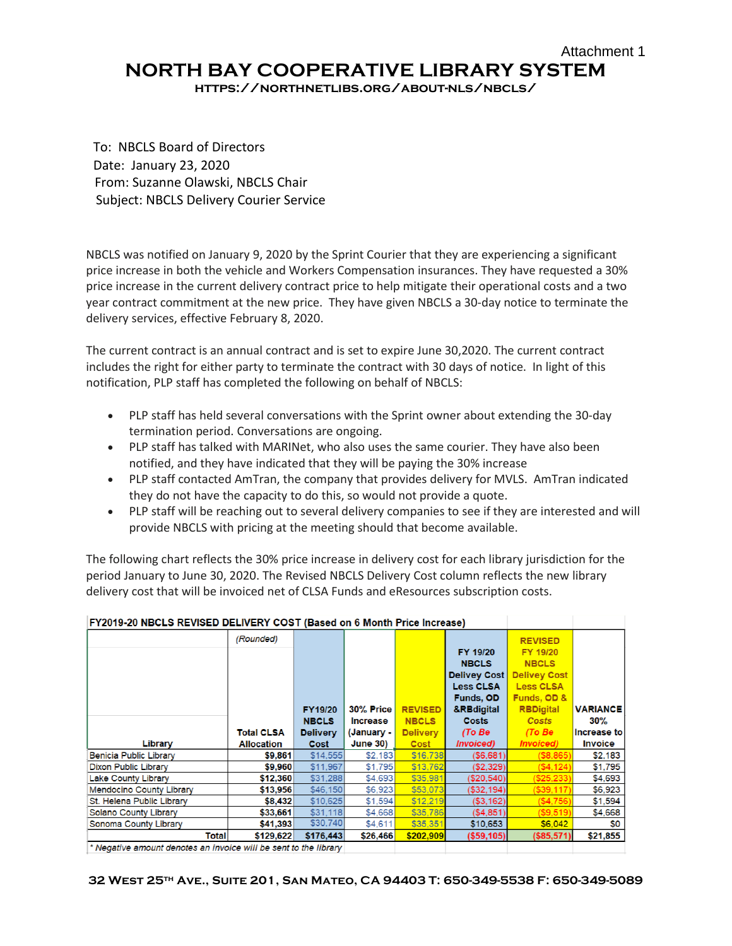## Attachment 1 **NORTH BAY COOPERATIVE LIBRARY SYSTEM**

**https://northnetlibs.org/about-nls/nbcls/**

To: NBCLS Board of Directors Date: January 23, 2020 From: Suzanne Olawski, NBCLS Chair Subject: NBCLS Delivery Courier Service

NBCLS was notified on January 9, 2020 by the Sprint Courier that they are experiencing a significant price increase in both the vehicle and Workers Compensation insurances. They have requested a 30% price increase in the current delivery contract price to help mitigate their operational costs and a two year contract commitment at the new price. They have given NBCLS a 30-day notice to terminate the delivery services, effective February 8, 2020.

The current contract is an annual contract and is set to expire June 30,2020. The current contract includes the right for either party to terminate the contract with 30 days of notice. In light of this notification, PLP staff has completed the following on behalf of NBCLS:

- PLP staff has held several conversations with the Sprint owner about extending the 30-day termination period. Conversations are ongoing.
- PLP staff has talked with MARINet, who also uses the same courier. They have also been notified, and they have indicated that they will be paying the 30% increase
- PLP staff contacted AmTran, the company that provides delivery for MVLS. AmTran indicated they do not have the capacity to do this, so would not provide a quote.
- PLP staff will be reaching out to several delivery companies to see if they are interested and will provide NBCLS with pricing at the meeting should that become available.

The following chart reflects the 30% price increase in delivery cost for each library jurisdiction for the period January to June 30, 2020. The Revised NBCLS Delivery Cost column reflects the new library delivery cost that will be invoiced net of CLSA Funds and eResources subscription costs.

| FY2019-20 NBCLS REVISED DELIVERY COST (Based on 6 Month Price Increase)         |                   |                 |                 |                 |                        |                     |                 |
|---------------------------------------------------------------------------------|-------------------|-----------------|-----------------|-----------------|------------------------|---------------------|-----------------|
|                                                                                 | (Rounded)         |                 |                 |                 |                        | <b>REVISED</b>      |                 |
|                                                                                 |                   |                 |                 |                 | FY 19/20               | FY 19/20            |                 |
|                                                                                 |                   |                 |                 |                 | <b>NBCLS</b>           | <b>NBCLS</b>        |                 |
|                                                                                 |                   |                 |                 |                 | <b>Delivey Cost</b>    | <b>Delivey Cost</b> |                 |
|                                                                                 |                   |                 |                 |                 | <b>Less CLSA</b>       | <b>Less CLSA</b>    |                 |
|                                                                                 |                   |                 |                 |                 | <b>Funds, OD</b>       | Funds, OD &         |                 |
|                                                                                 |                   | <b>FY19/20</b>  | 30% Price       | <b>REVISED</b>  | &RBdigital             | <b>RBDigital</b>    | <b>VARIANCE</b> |
|                                                                                 |                   | <b>NBCLS</b>    | <b>Increase</b> | <b>NBCLS</b>    | <b>Costs</b>           | <b>Costs</b>        | $30\%$          |
|                                                                                 | <b>Total CLSA</b> | <b>Delivery</b> | (January -      | <b>Delivery</b> | (To Be                 | (To Be)             | Increase to     |
| Library                                                                         | <b>Allocation</b> | Cost            | <b>June 30)</b> | <b>Cost</b>     | <i><b>Invoiced</b></i> | <b>Invoiced</b> )   | <b>Invoice</b>  |
| <b>Benicia Public Library</b>                                                   | \$9,861           | \$14.555        | \$2,183         | \$16,738        | (S6, 681)              | (S8, 865)           | \$2,183         |
| <b>Dixon Public Library</b>                                                     | \$9,960           | \$11,967        | \$1,795         | \$13,762        | (S2, 329)              | (S4, 124)           | \$1,795         |
| <b>Lake County Library</b>                                                      | \$12,360          | \$31,288        | \$4,693         | \$35,981        | (S20, 540)             | (S25, 233)          | \$4,693         |
| <b>Mendocino County Library</b>                                                 | \$13,956          | \$46,150        | \$6,923         | \$53,073        | (S32.194)              | (S39.117)           | \$6,923         |
| St. Helena Public Library                                                       | \$8,432           | \$10,625        | \$1,594         | \$12.219        | ( \$3,162)             | (S4, 756)           | \$1,594         |
| Solano County Library                                                           | \$33,661          | \$31,118        | \$4,668         | \$35,786        | (S4.851)               | (S9.519)            | \$4,668         |
| Sonoma County Library                                                           | \$41,393          | \$30,740        | \$4,611         | \$35.351        | \$10,653               | \$6,042             | \$0             |
| <b>Total</b>                                                                    | \$129,622         | \$176,443       | \$26,466        | \$202,909       | ( \$59, 105)           | ( \$85, 571)        | \$21,855        |
| * Alexandria cases and dependence on formation will be considered to the origin |                   |                 |                 |                 |                        |                     |                 |

**12040.20 NBCLO BEVIOED BELIVEDY COOT (Based on C Marth Brits In** 

|\* Negative amount denotes an invoice will be sent to the library |